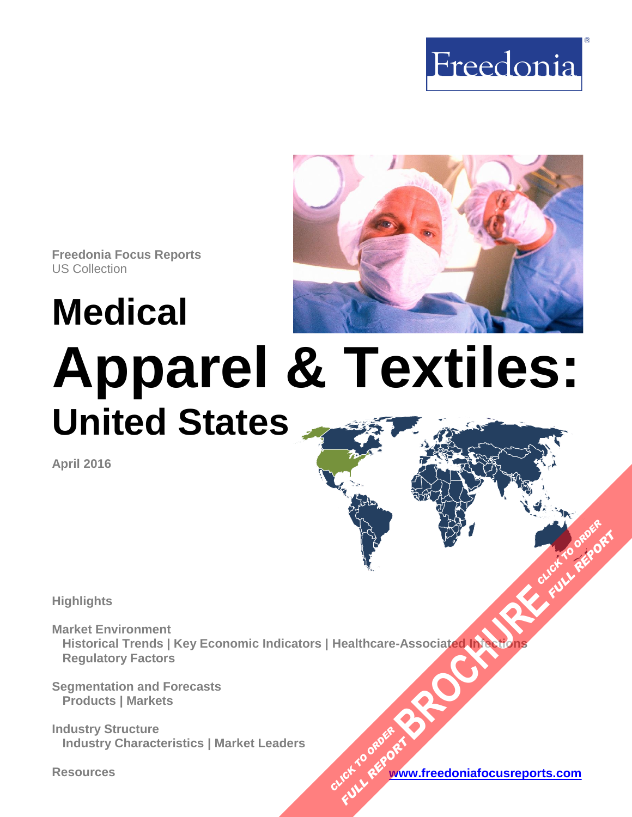



# **Medical Apparel & Textiles: United States**

**April 2016**

**Highlights**

**Market Environment Historical Trends | Key Economic Indicators | Healthcare-Associated Infections Regulatory Factors [BROCHURE](https://www.freedoniafocusreports.com/Medical-Apparel-Textiles-United-States-10829487/?progid=89541)AD IN PARTICULAR PORTION** 

**Segmentation and Forecasts Products | Markets**

**Industry Structure Industry Characteristics | Market Leaders**

**Resources [www.freedoniafocusreports.com](https://www.freedoniafocusreports.com/redirect.asp?progid=89541&url=/)** CLICK TO ORDER **FULL REPORT** 

**FULL REPORT**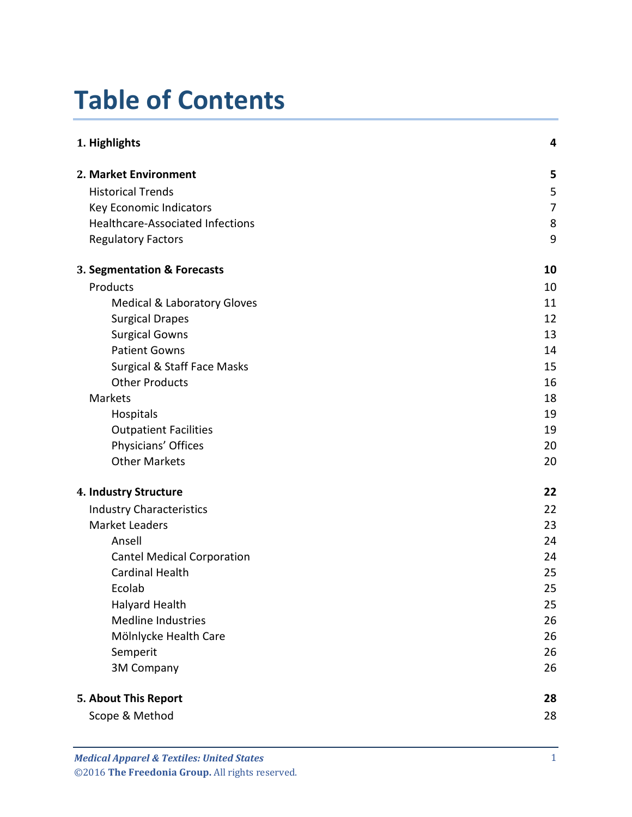# **Table of Contents**

| 1. Highlights                           | 4              |
|-----------------------------------------|----------------|
| 2. Market Environment                   | 5              |
| <b>Historical Trends</b>                | 5              |
| Key Economic Indicators                 | $\overline{7}$ |
| <b>Healthcare-Associated Infections</b> | 8              |
| <b>Regulatory Factors</b>               | 9              |
| 3. Segmentation & Forecasts             | 10             |
| Products                                | 10             |
| <b>Medical &amp; Laboratory Gloves</b>  | 11             |
| <b>Surgical Drapes</b>                  | 12             |
| <b>Surgical Gowns</b>                   | 13             |
| <b>Patient Gowns</b>                    | 14             |
| Surgical & Staff Face Masks             | 15             |
| <b>Other Products</b>                   | 16             |
| Markets                                 | 18             |
| Hospitals                               | 19             |
| <b>Outpatient Facilities</b>            | 19             |
| Physicians' Offices                     | 20             |
| <b>Other Markets</b>                    | 20             |
| 4. Industry Structure                   | 22             |
| <b>Industry Characteristics</b>         | 22             |
| <b>Market Leaders</b>                   | 23             |
| Ansell                                  | 24             |
| <b>Cantel Medical Corporation</b>       | 24             |
| <b>Cardinal Health</b>                  | 25             |
| Ecolab                                  | 25             |
| <b>Halyard Health</b>                   | 25             |
| <b>Medline Industries</b>               | 26             |
| Mölnlycke Health Care                   | 26             |
| Semperit                                | 26             |
| <b>3M Company</b>                       | 26             |
| 5. About This Report                    | 28             |
| Scope & Method                          | 28             |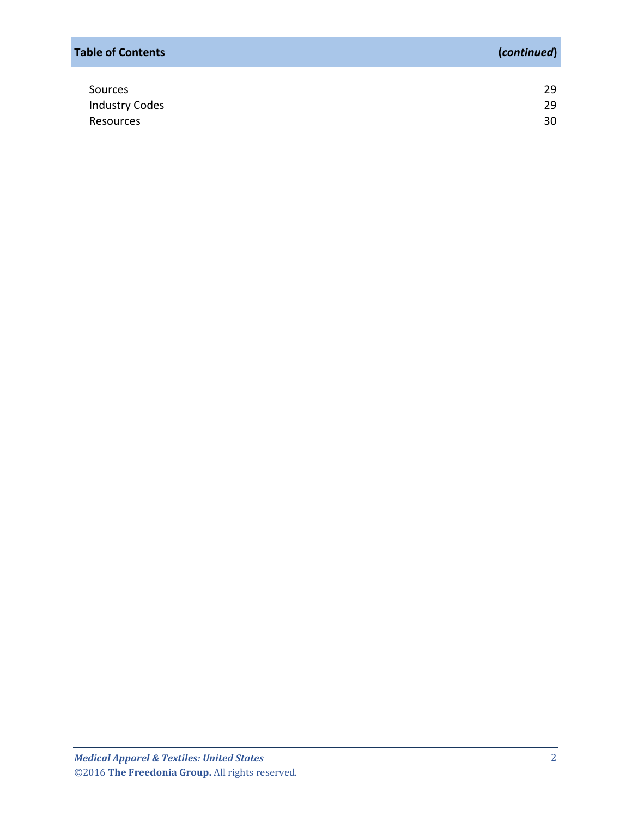| <b>Table of Contents</b> | (continued) |
|--------------------------|-------------|
| Sources                  | 29          |
| <b>Industry Codes</b>    | 29          |
| Resources                | 30          |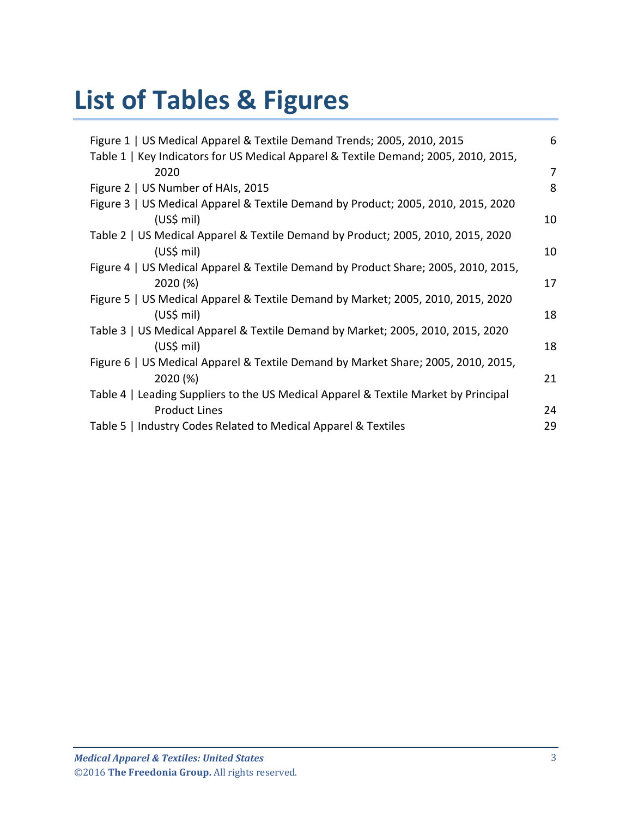# **List of Tables & Figures**

| Figure 1   US Medical Apparel & Textile Demand Trends; 2005, 2010, 2015             | 6  |
|-------------------------------------------------------------------------------------|----|
| Table 1   Key Indicators for US Medical Apparel & Textile Demand; 2005, 2010, 2015, |    |
| 2020                                                                                | 7  |
| Figure 2   US Number of HAIs, 2015                                                  | 8  |
| Figure 3   US Medical Apparel & Textile Demand by Product; 2005, 2010, 2015, 2020   |    |
| $(US$)$ mil)                                                                        | 10 |
| Table 2   US Medical Apparel & Textile Demand by Product; 2005, 2010, 2015, 2020    |    |
| $(US$)$ mil)                                                                        | 10 |
| Figure 4   US Medical Apparel & Textile Demand by Product Share; 2005, 2010, 2015,  |    |
| 2020 (%)                                                                            | 17 |
| Figure 5   US Medical Apparel & Textile Demand by Market; 2005, 2010, 2015, 2020    |    |
| $(US$)$ mil)                                                                        | 18 |
| Table 3   US Medical Apparel & Textile Demand by Market; 2005, 2010, 2015, 2020     |    |
| $(US$)$ mil)                                                                        | 18 |
| Figure 6   US Medical Apparel & Textile Demand by Market Share; 2005, 2010, 2015,   |    |
| 2020 (%)                                                                            | 21 |
| Table 4   Leading Suppliers to the US Medical Apparel & Textile Market by Principal |    |
| <b>Product Lines</b>                                                                | 24 |
| Table 5   Industry Codes Related to Medical Apparel & Textiles                      | 29 |
|                                                                                     |    |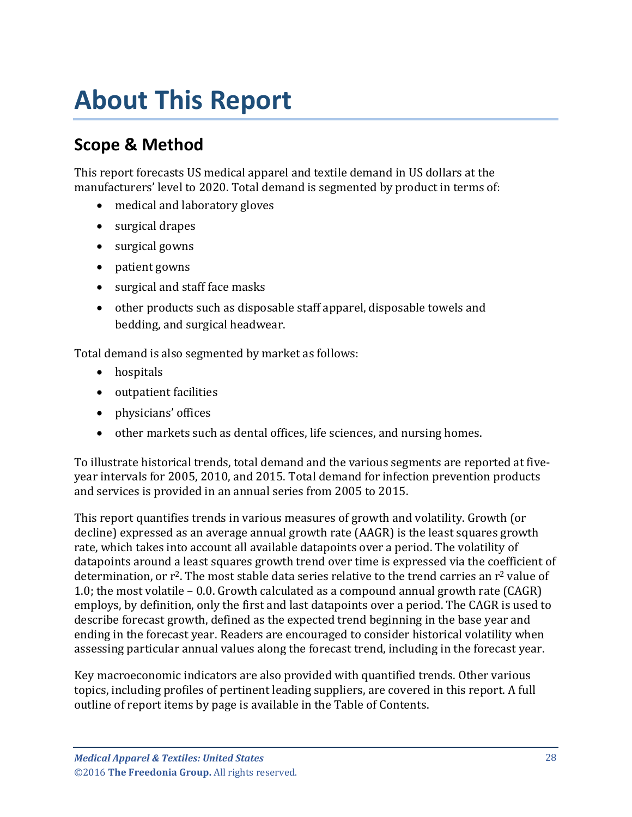# <span id="page-4-0"></span>**About This Report**

## <span id="page-4-1"></span>**Scope & Method**

This report forecasts US medical apparel and textile demand in US dollars at the manufacturers' level to 2020. Total demand is segmented by product in terms of:

- medical and laboratory gloves
- surgical drapes
- surgical gowns
- patient gowns
- surgical and staff face masks
- other products such as disposable staff apparel, disposable towels and bedding, and surgical headwear.

Total demand is also segmented by market as follows:

- hospitals
- outpatient facilities
- physicians' offices
- other markets such as dental offices, life sciences, and nursing homes.

To illustrate historical trends, total demand and the various segments are reported at fiveyear intervals for 2005, 2010, and 2015. Total demand for infection prevention products and services is provided in an annual series from 2005 to 2015.

This report quantifies trends in various measures of growth and volatility. Growth (or decline) expressed as an average annual growth rate (AAGR) is the least squares growth rate, which takes into account all available datapoints over a period. The volatility of datapoints around a least squares growth trend over time is expressed via the coefficient of determination, or  $r^2$ . The most stable data series relative to the trend carries an  $r^2$  value of 1.0; the most volatile – 0.0. Growth calculated as a compound annual growth rate (CAGR) employs, by definition, only the first and last datapoints over a period. The CAGR is used to describe forecast growth, defined as the expected trend beginning in the base year and ending in the forecast year. Readers are encouraged to consider historical volatility when assessing particular annual values along the forecast trend, including in the forecast year.

Key macroeconomic indicators are also provided with quantified trends. Other various topics, including profiles of pertinent leading suppliers, are covered in this report. A full outline of report items by page is available in the Table of Contents.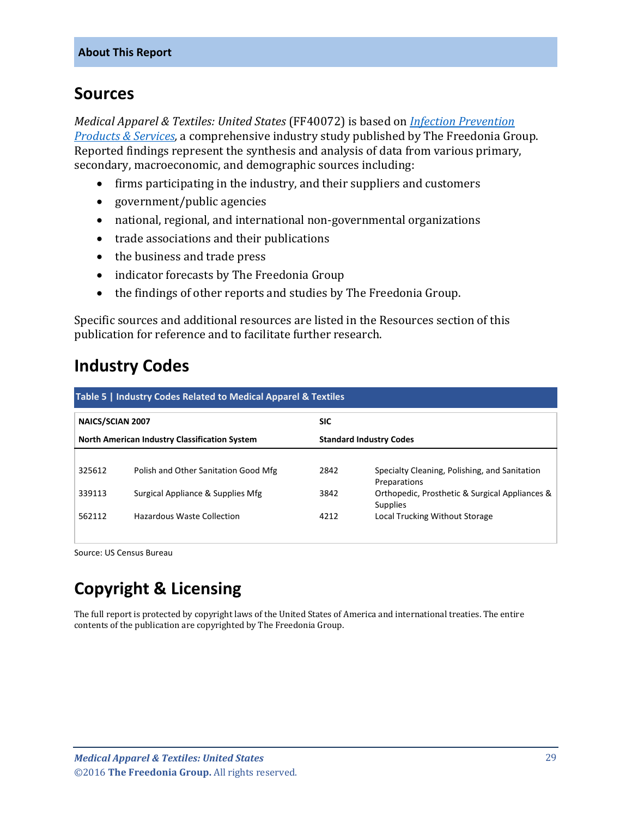## <span id="page-5-0"></span>**Sources**

*Medical Apparel & Textiles: United States* (FF40072) is based on *[Infection Prevention](http://www.freedoniagroup.com/DocumentDetails.aspx?ReferrerId=FL-FOCUS&studyid=3403)  [Products & Services,](http://www.freedoniagroup.com/DocumentDetails.aspx?ReferrerId=FL-FOCUS&studyid=3403)* a comprehensive industry study published by The Freedonia Group. Reported findings represent the synthesis and analysis of data from various primary, secondary, macroeconomic, and demographic sources including:

- firms participating in the industry, and their suppliers and customers
- government/public agencies
- national, regional, and international non-governmental organizations
- trade associations and their publications
- the business and trade press
- indicator forecasts by The Freedonia Group
- the findings of other reports and studies by The Freedonia Group.

Specific sources and additional resources are listed in the Resources section of this publication for reference and to facilitate further research.

## <span id="page-5-1"></span>**Industry Codes**

<span id="page-5-2"></span>

| Table 5   Industry Codes Related to Medical Apparel & Textiles |                                      |            |                                                                   |  |  |
|----------------------------------------------------------------|--------------------------------------|------------|-------------------------------------------------------------------|--|--|
| <b>NAICS/SCIAN 2007</b>                                        |                                      | <b>SIC</b> |                                                                   |  |  |
| <b>North American Industry Classification System</b>           |                                      |            | <b>Standard Industry Codes</b>                                    |  |  |
| 325612                                                         | Polish and Other Sanitation Good Mfg | 2842       | Specialty Cleaning, Polishing, and Sanitation<br>Preparations     |  |  |
| 339113                                                         | Surgical Appliance & Supplies Mfg    | 3842       | Orthopedic, Prosthetic & Surgical Appliances &<br><b>Supplies</b> |  |  |
| 562112                                                         | <b>Hazardous Waste Collection</b>    | 4212       | Local Trucking Without Storage                                    |  |  |
|                                                                |                                      |            |                                                                   |  |  |

Source: US Census Bureau

# **Copyright & Licensing**

The full report is protected by copyright laws of the United States of America and international treaties. The entire contents of the publication are copyrighted by The Freedonia Group.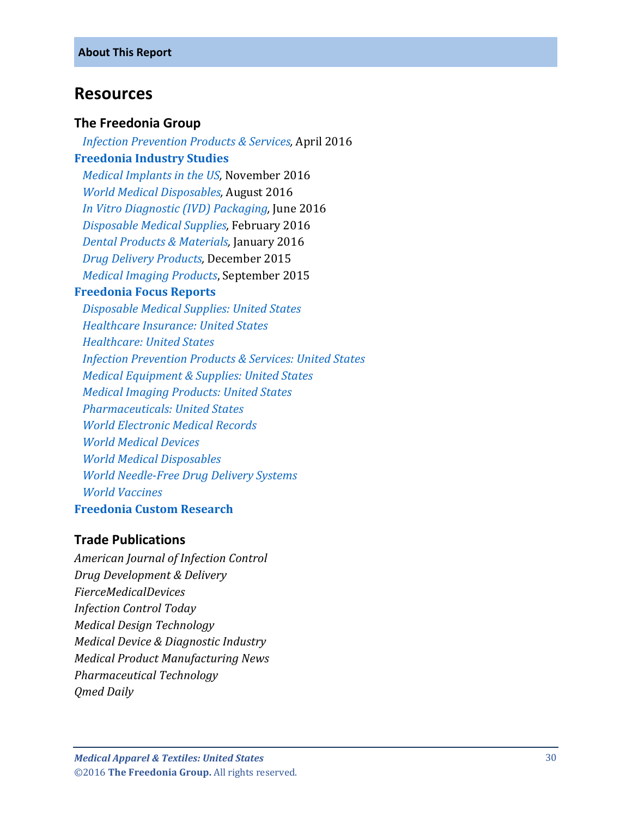### <span id="page-6-0"></span>**Resources**

#### **The Freedonia Group**

 *[Infection Prevention Products & Services,](http://www.freedoniagroup.com/DocumentDetails.aspx?ReferrerId=FL-FOCUS&studyid=3403)* April 2016 **[Freedonia Industry Studies](http://www.freedoniagroup.com/Home.aspx?ReferrerId=FL-Focus)**  *[Medical Implants in the US,](http://www.freedoniagroup.com/DocumentDetails.aspx?ReferrerId=FL-FOCUS&studyid=3465)* November 2016  *[World Medical Disposables,](http://www.freedoniagroup.com/DocumentDetails.aspx?ReferrerId=FL-FOCUS&studyid=3446)* August 2016  *[In Vitro Diagnostic \(IVD\) Packaging,](http://www.freedoniagroup.com/DocumentDetails.aspx?ReferrerId=FL-FOCUS&studyid=3421)* June 2016  *[Disposable Medical Supplies,](http://www.freedoniagroup.com/DocumentDetails.aspx?ReferrerId=FL-FOCUS&studyid=3378)* February 2016  *[Dental Products & Materials,](http://www.freedoniagroup.com/DocumentDetails.aspx?ReferrerId=FL-FOCUS&studyid=3359)* January 2016  *[Drug Delivery Products,](http://www.freedoniagroup.com/DocumentDetails.aspx?ReferrerId=FL-FOCUS&studyid=3354)* December 2015 *[Medical Imaging Products](http://www.freedoniagroup.com/DocumentDetails.aspx?ReferrerId=FL-FOCUS&studyid=3315)*, September 2015 **[Freedonia Focus Reports](https://www.freedoniafocusreports.com/redirect.asp?progid=89534&url=/)**  *[Disposable Medical Supplies: United States](https://www.freedoniafocusreports.com/Disposable-Medical-Supplies-United-States-9968666/) [Healthcare Insurance: United States](https://www.freedoniafocusreports.com/Healthcare-Insurance-United-States-8983284/) [Healthcare: United States](https://www.freedoniafocusreports.com/Healthcare-United-States-9513084/) [Infection Prevention Products & Services: United States](https://www.freedoniafocusreports.com/Infection-Prevention-Products-Services-United-States-10048187/) [Medical Equipment & Supplies: United States](https://www.freedoniafocusreports.com/Medical-Equipment-Supplies-United-States-9864009/) [Medical Imaging Products: United States](https://www.freedoniafocusreports.com/Medical-Imaging-Products-United-States-9402419/) [Pharmaceuticals: United States](https://www.freedoniafocusreports.com/Pharmaceuticals-United-States-10048193/) [World Electronic Medical Records](https://www.freedoniafocusreports.com/World-Electronic-Medical-Records-10423194/) [World Medical Devices](https://www.freedoniafocusreports.com/World-Medical-Devices-10335318/) [World Medical Disposables](https://www.freedoniafocusreports.com/World-Medical-Disposables-10335312/) [World Needle-Free Drug Delivery Systems](https://www.freedoniafocusreports.com/World-Needle-Free-Drug-Delivery-Systems-10335315/) [World Vaccines](https://www.freedoniafocusreports.com/World-Vaccines-10423188/)* **[Freedonia Custom Research](http://www.freedoniagroup.com/CustomResearch.aspx?ReferrerId=FL-Focus)**

#### **Trade Publications**

*American Journal of Infection Control Drug Development & Delivery FierceMedicalDevices Infection Control Today Medical Design Technology Medical Device & Diagnostic Industry Medical Product Manufacturing News Pharmaceutical Technology Qmed Daily*